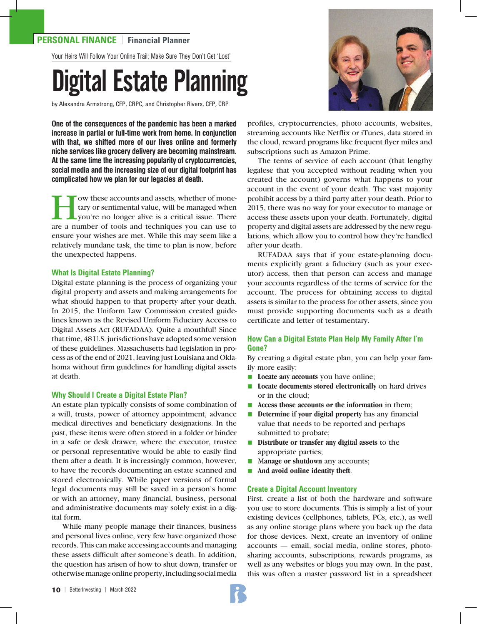# **PERSONAL FINANCE** | **Financial Planner**

Your Heirs Will Follow Your Online Trail; Make Sure They Don't Get 'Lost'

# Digital Estate Planning

by Alexandra Armstrong, CFP, CRPC, and Christopher Rivers, CFP, CRP

**One of the consequences of the pandemic has been a marked increase in partial or full-time work from home. In conjunction with that, we shifted more of our lives online and formerly niche services like grocery delivery are becoming mainstream. At the same time the increasing popularity of cryptocurrencies, social media and the increasing size of our digital footprint has complicated how we plan for our legacies at death.**

Fow these accounts and assets, whether of mone-<br>tary or sentimental value, will be managed when<br>you're no longer alive is a critical issue. There<br>are a number of tools and techniques you can use to tary or sentimental value, will be managed when you're no longer alive is a critical issue. There are a number of tools and techniques you can use to ensure your wishes are met. While this may seem like a relatively mundane task, the time to plan is now, before the unexpected happens.

#### **What Is Digital Estate Planning?**

Digital estate planning is the process of organizing your digital property and assets and making arrangements for what should happen to that property after your death. In 2015, the Uniform Law Commission created guidelines known as the Revised Uniform Fiduciary Access to Digital Assets Act (RUFADAA). Quite a mouthful! Since that time, 48 U.S. jurisdictions have adopted some version of these guidelines. Massachusetts had legislation in process as of the end of 2021, leaving just Louisiana and Oklahoma without firm guidelines for handling digital assets at death.

#### **Why Should I Create a Digital Estate Plan?**

An estate plan typically consists of some combination of a will, trusts, power of attorney appointment, advance medical directives and beneficiary designations. In the past, these items were often stored in a folder or binder in a safe or desk drawer, where the executor, trustee or personal representative would be able to easily find them after a death. It is increasingly common, however, to have the records documenting an estate scanned and stored electronically. While paper versions of formal legal documents may still be saved in a person's home or with an attorney, many financial, business, personal and administrative documents may solely exist in a digital form.

While many people manage their finances, business and personal lives online, very few have organized those records. This can make accessing accounts and managing these assets difficult after someone's death. In addition, the question has arisen of how to shut down, transfer or otherwise manage online property, including social media



profiles, cryptocurrencies, photo accounts, websites, streaming accounts like Netflix or iTunes, data stored in the cloud, reward programs like frequent flyer miles and subscriptions such as Amazon Prime.

The terms of service of each account (that lengthy legalese that you accepted without reading when you created the account) governs what happens to your account in the event of your death. The vast majority prohibit access by a third party after your death. Prior to 2015, there was no way for your executor to manage or access these assets upon your death. Fortunately, digital property and digital assets are addressed by the new regulations, which allow you to control how they're handled after your death.

RUFADAA says that if your estate-planning documents explicitly grant a fiduciary (such as your executor) access, then that person can access and manage your accounts regardless of the terms of service for the account. The process for obtaining access to digital assets is similar to the process for other assets, since you must provide supporting documents such as a death certificate and letter of testamentary.

# **How Can a Digital Estate Plan Help My Family After I'm Gone?**

By creating a digital estate plan, you can help your family more easily:

- **Locate any accounts** you have online;
- **n** Locate documents stored electronically on hard drives or in the cloud;
- Access those accounts or the information in them;
- **Determine if your digital property** has any financial value that needs to be reported and perhaps submitted to probate;
- **n Distribute or transfer any digital assets** to the appropriate parties;
- Manage or shutdown any accounts;
- **n** And avoid online identity theft.

#### **Create a Digital Account Inventory**

First, create a list of both the hardware and software you use to store documents. This is simply a list of your existing devices (cellphones, tablets, PCs, etc.), as well as any online storage plans where you back up the data for those devices. Next, create an inventory of online accounts — email, social media, online stores, photosharing accounts, subscriptions, rewards programs, as well as any websites or blogs you may own. In the past, this was often a master password list in a spreadsheet